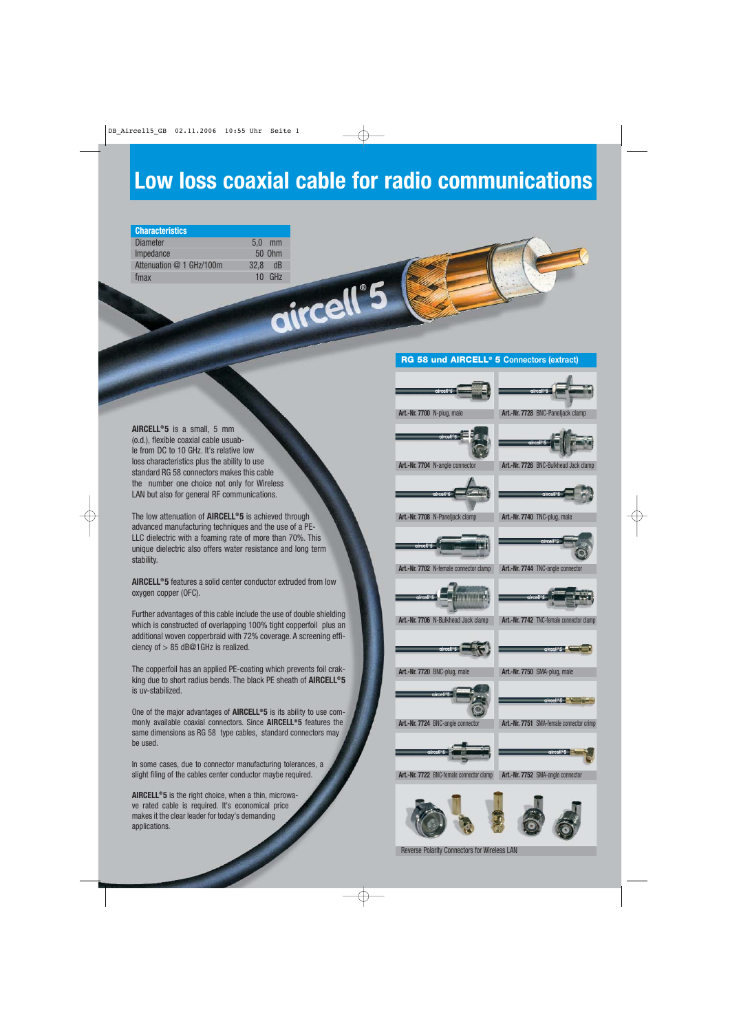# **Low loss coaxial cable for radio communications**

| <b>Characteristics</b>   |      |        |
|--------------------------|------|--------|
| <b>Diameter</b>          | 5,0  | mm     |
| Impedance                |      | 50 Ohm |
| Attenuation @ 1 GHz/100m | 32,8 | dB     |
| fmax                     | 10   | GHz    |
|                          |      |        |

#### **RG 58 und AIRCELL® 5 Connectors (extract)**

**AIRCELL<sup>®</sup>5** is a small, 5 mm (o.d.), flexible coaxial cable usuable from DC to 10 GHz. It's relative low loss characteristics plus the ability to use standard RG 58 connectors makes this cable the number one choice not only for Wireless LAN but also for general RF communications.

The low attenuation of **AIRCELL® 5** is achieved through advanced manufacturing techniques and the use of a PE-LLC dielectric with a foaming rate of more than 70%. This unique dielectric also offers water resistance and long term stability.

**AIRCELL® 5** features a solid center conductor extruded from low oxygen copper (OFC).

Further advantages of this cable include the use of double shielding which is constructed of overlapping 100% tight copperfoil plus an additional woven copperbraid with 72% coverage. A screening efficiency of > 85 dB@1GHz is realized.

The copperfoil has an applied PE-coating which prevents foil crakking due to short radius bends. The black PE sheath of **AIRCELL® 5** is uv-stabilized.

One of the major advantages of **AIRCELL® 5** is its ability to use commonly available coaxial connectors. Since **AIRCELL® 5** features the same dimensions as RG 58 type cables, standard connectors may be used.

In some cases, due to connector manufacturing tolerances, a slight filing of the cables center conductor maybe required.

**AIRCELL® 5** is the right choice, when a thin, microwave rated cable is required. It's economical price makes it the clear leader for today's demanding applications.





**Art.-Nr. 7704** N-angle connector **Art.-Nr. 7726** BNC-Bulkhead Jack clamp





**Art.-Nr. 7708** N-Paneljack clamp **Art.-Nr. 7740** TNC-plug, male



**Art.-Nr. 7702** N-female connector clamp **Art.-Nr. 7744** TNC-angle connector



**Art.-Nr. 7706** N-Bulkhead Jack clamp **Art.-Nr. 7742** TNC-female connector clamp



**Art.-Nr. 7720** BNC-plug, male **Art.-Nr. 7750** SMA-plug, male

**Art.-Nr. 7724** BNC-angle connector **Art.-Nr. 7751** SMA-female connector crimp



**Art.-Nr. 7722** BNC-female connector clamp **Art.-Nr. 7752** SMA-angle connector



Reverse Polarity Connectors for Wireless LAN